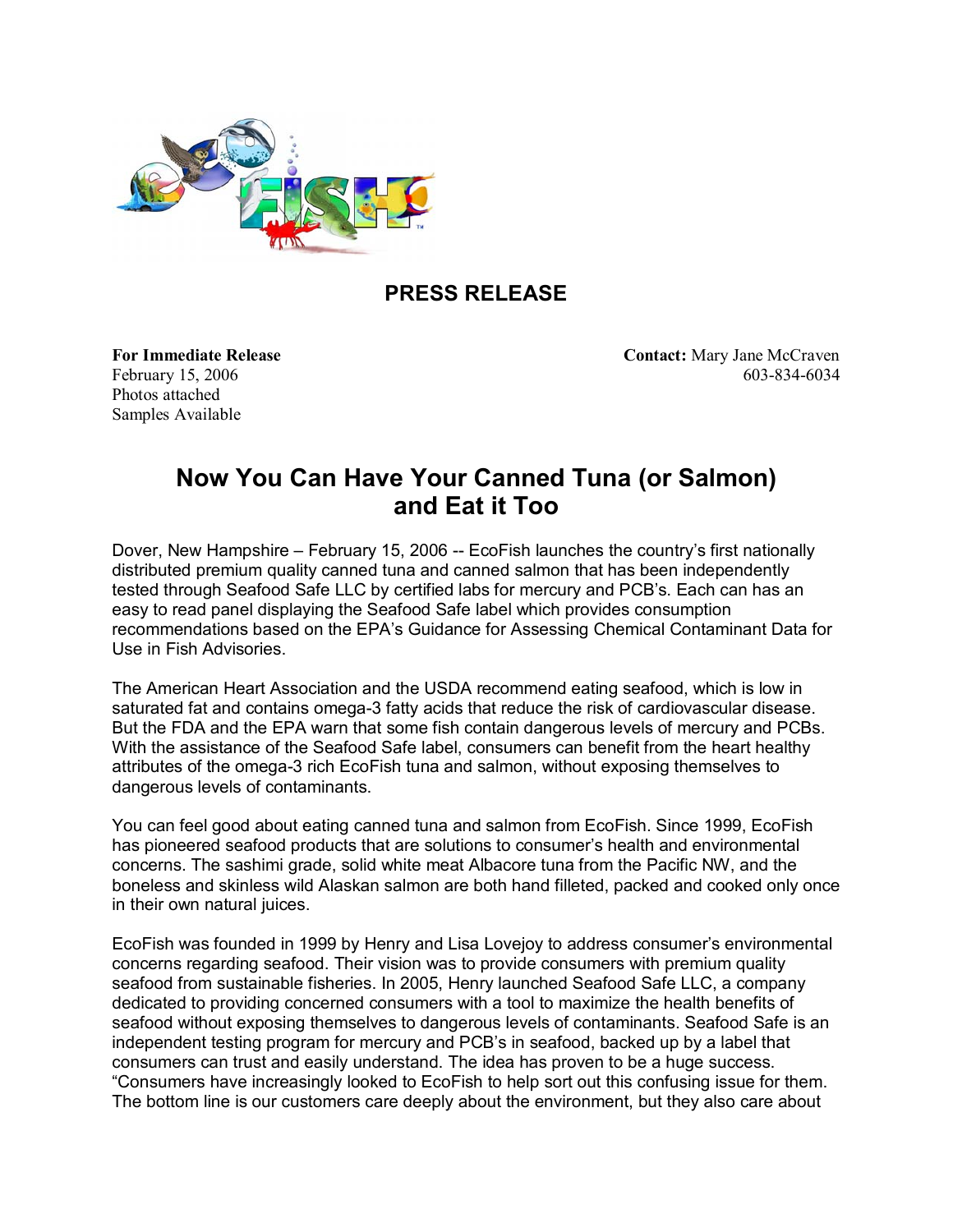

## **PRESS RELEASE**

Photos attached Samples Available

**For Immediate Release Contact:** Mary Jane McCraven February 15, 2006 603-834-6034

## **Now You Can Have Your Canned Tuna (or Salmon) and Eat it Too**

Dover, New Hampshire – February 15, 2006 -- EcoFish launches the country's first nationally distributed premium quality canned tuna and canned salmon that has been independently tested through Seafood Safe LLC by certified labs for mercury and PCB's. Each can has an easy to read panel displaying the Seafood Safe label which provides consumption recommendations based on the EPAís Guidance for Assessing Chemical Contaminant Data for Use in Fish Advisories.

The American Heart Association and the USDA recommend eating seafood, which is low in saturated fat and contains omega-3 fatty acids that reduce the risk of cardiovascular disease. But the FDA and the EPA warn that some fish contain dangerous levels of mercury and PCBs. With the assistance of the Seafood Safe label, consumers can benefit from the heart healthy attributes of the omega-3 rich EcoFish tuna and salmon, without exposing themselves to dangerous levels of contaminants.

You can feel good about eating canned tuna and salmon from EcoFish. Since 1999, EcoFish has pioneered seafood products that are solutions to consumer's health and environmental concerns. The sashimi grade, solid white meat Albacore tuna from the Pacific NW, and the boneless and skinless wild Alaskan salmon are both hand filleted, packed and cooked only once in their own natural juices.

EcoFish was founded in 1999 by Henry and Lisa Lovejoy to address consumerís environmental concerns regarding seafood. Their vision was to provide consumers with premium quality seafood from sustainable fisheries. In 2005, Henry launched Seafood Safe LLC, a company dedicated to providing concerned consumers with a tool to maximize the health benefits of seafood without exposing themselves to dangerous levels of contaminants. Seafood Safe is an independent testing program for mercury and PCB's in seafood, backed up by a label that consumers can trust and easily understand. The idea has proven to be a huge success. ìConsumers have increasingly looked to EcoFish to help sort out this confusing issue for them. The bottom line is our customers care deeply about the environment, but they also care about